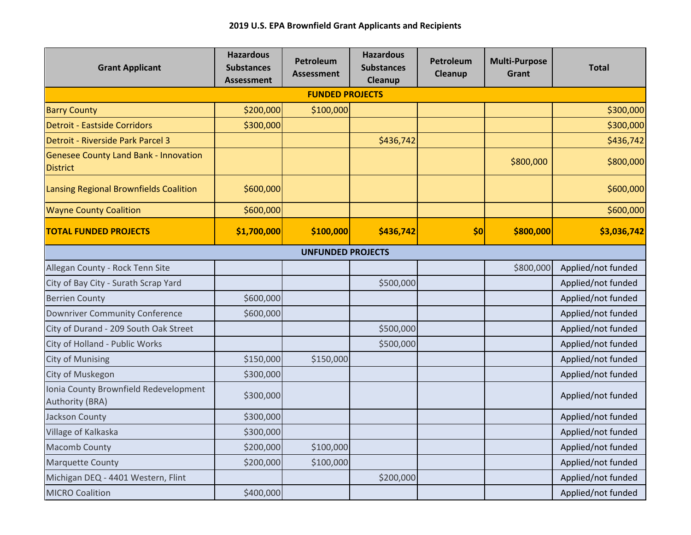| <b>Grant Applicant</b>                                          | <b>Hazardous</b><br><b>Substances</b><br><b>Assessment</b> | <b>Petroleum</b><br><b>Assessment</b> | <b>Hazardous</b><br><b>Substances</b><br>Cleanup | Petroleum<br>Cleanup | <b>Multi-Purpose</b><br>Grant | <b>Total</b>       |  |  |  |  |
|-----------------------------------------------------------------|------------------------------------------------------------|---------------------------------------|--------------------------------------------------|----------------------|-------------------------------|--------------------|--|--|--|--|
| <b>FUNDED PROJECTS</b>                                          |                                                            |                                       |                                                  |                      |                               |                    |  |  |  |  |
| <b>Barry County</b>                                             | \$200,000                                                  | \$100,000                             |                                                  |                      |                               | \$300,000          |  |  |  |  |
| <b>Detroit - Eastside Corridors</b>                             | \$300,000                                                  |                                       |                                                  |                      |                               | \$300,000          |  |  |  |  |
| Detroit - Riverside Park Parcel 3                               |                                                            |                                       | \$436,742                                        |                      |                               | \$436,742          |  |  |  |  |
| <b>Genesee County Land Bank - Innovation</b><br><b>District</b> |                                                            |                                       |                                                  |                      | \$800,000                     | \$800,000          |  |  |  |  |
| Lansing Regional Brownfields Coalition                          | \$600,000                                                  |                                       |                                                  |                      |                               | \$600,000          |  |  |  |  |
| <b>Wayne County Coalition</b>                                   | \$600,000                                                  |                                       |                                                  |                      |                               | \$600,000          |  |  |  |  |
| <b>TOTAL FUNDED PROJECTS</b>                                    | \$1,700,000                                                | \$100,000                             | \$436,742                                        | \$0                  | \$800,000                     | \$3,036,742        |  |  |  |  |
| <b>UNFUNDED PROJECTS</b>                                        |                                                            |                                       |                                                  |                      |                               |                    |  |  |  |  |
| Allegan County - Rock Tenn Site                                 |                                                            |                                       |                                                  |                      | \$800,000                     | Applied/not funded |  |  |  |  |
| City of Bay City - Surath Scrap Yard                            |                                                            |                                       | \$500,000                                        |                      |                               | Applied/not funded |  |  |  |  |
| <b>Berrien County</b>                                           | \$600,000                                                  |                                       |                                                  |                      |                               | Applied/not funded |  |  |  |  |
| <b>Downriver Community Conference</b>                           | \$600,000                                                  |                                       |                                                  |                      |                               | Applied/not funded |  |  |  |  |
| City of Durand - 209 South Oak Street                           |                                                            |                                       | \$500,000                                        |                      |                               | Applied/not funded |  |  |  |  |
| City of Holland - Public Works                                  |                                                            |                                       | \$500,000                                        |                      |                               | Applied/not funded |  |  |  |  |
| <b>City of Munising</b>                                         | \$150,000                                                  | \$150,000                             |                                                  |                      |                               | Applied/not funded |  |  |  |  |
| City of Muskegon                                                | \$300,000                                                  |                                       |                                                  |                      |                               | Applied/not funded |  |  |  |  |
| Ionia County Brownfield Redevelopment<br>Authority (BRA)        | \$300,000                                                  |                                       |                                                  |                      |                               | Applied/not funded |  |  |  |  |
| Jackson County                                                  | \$300,000                                                  |                                       |                                                  |                      |                               | Applied/not funded |  |  |  |  |
| Village of Kalkaska                                             | \$300,000                                                  |                                       |                                                  |                      |                               | Applied/not funded |  |  |  |  |
| <b>Macomb County</b>                                            | \$200,000                                                  | \$100,000                             |                                                  |                      |                               | Applied/not funded |  |  |  |  |
| <b>Marquette County</b>                                         | \$200,000                                                  | \$100,000                             |                                                  |                      |                               | Applied/not funded |  |  |  |  |
| Michigan DEQ - 4401 Western, Flint                              |                                                            |                                       | \$200,000                                        |                      |                               | Applied/not funded |  |  |  |  |
| <b>MICRO Coalition</b>                                          | \$400,000                                                  |                                       |                                                  |                      |                               | Applied/not funded |  |  |  |  |